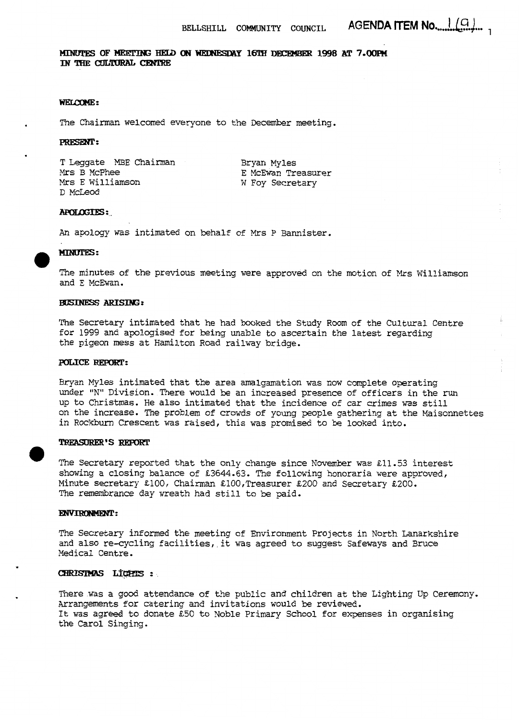MINUTES OF MEETING HELD ON WEDNESDAY 16TH DECEMBER 1998 AT 7.00PM IN THE CULTURAL CENTRE

### **WELCOME:**

The Chairman welcomed everyone to the December meeting.

### PRESENT:

**T** Leggate **MBE** Chairman *Mrs* B McPhee *Mrs* E Williamson D McLeod

Bryan Myles **E** McEwan Treasurer W Foy Secretary

### **APOLOGIES:**

*An* apology was intimated on behalf of *Mrs* P Bannister.

# **e MIN**<br>The

The minutes of the previous meeting were approved on the motion of *Mrs* Williamson and E McEwan.

### **BUSINESS ARISING:**

The Secretary intimated that he had booked the Study Room **of** the Cultural Centre for 1999 and apologised for being unable **to** ascertain the latest regarding the pigeon mess at Hamilton Road railway bridge.

Bryan Myles intimated that the area amalgamation **was** now complete operating under "N" Division. There would be an increased presence of officers in the run up to Christmas. He also intimated that the incidence *of* car crimes was still on the increase. **The** problem *of* crowds **of** young people gathering at the Maisonnettes in Rockburn Crescent **was** raised, this **was** promised to **be** looked into. **POLICE REPORT:**<br> **POLICE REPORT:**<br> **PITYAN Myles intimated that the area amalgamation was now complete operating**<br>
under "N" Division. There would be an increased presence of officers in the run<br>
up to Christmas. He also

showing a closing balance of **E3644.63.** The following honoraria were approved, Minute secretary 2100, Chairman ElO0,Treasurer **%200** and Secretary **E200.**  The remembrance **day** wreath had still to be paid.

### **ENVIRONMENT:**

**The** Secretary informed the meeting of Environment Projects in North Lanarkshire and also re-cycling facilities, it **was** agreed to suggest Safeways and Bruce Medical Centre.

### CHRISIMAS LIGHTS:

There **was** a good attendance of the public and children at the Lighting Up Ceremony. Arrangements for catering and invitations would be reviewed. It **was** agreed to donate Ei50 to Noble Primary School for expenses in organising the Carol Singing.